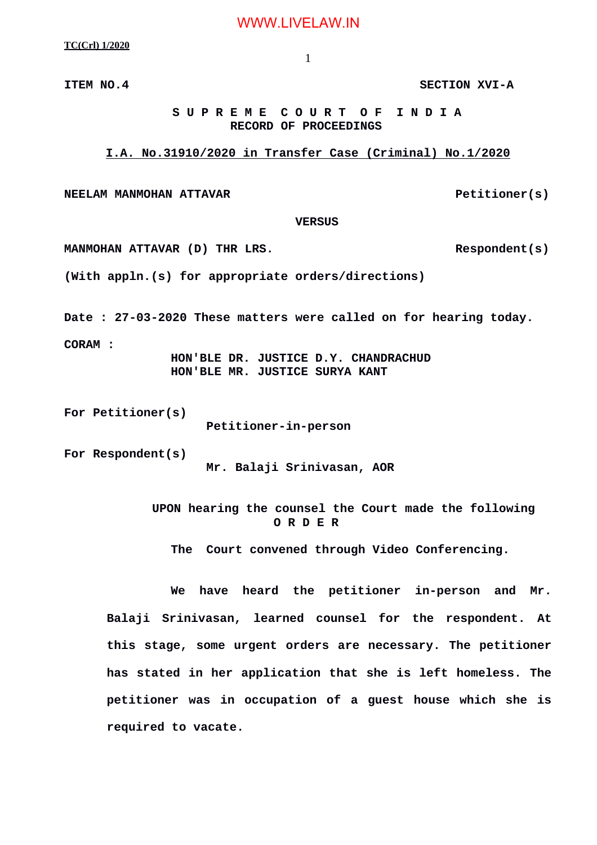WWW.LIVELAW.IN

**TC(Crl) 1/2020**

1

**ITEM NO.4 SECTION XVI-A**

## **S U P R E M E C O U R T O F I N D I A RECORD OF PROCEEDINGS**

**I.A. No.31910/2020 in Transfer Case (Criminal) No.1/2020**

**NEELAM MANMOHAN ATTAVAR Petitioner(s)** 

 **VERSUS**

MANMOHAN ATTAVAR (D) THR LRS. Respondent(s)

**(With appln.(s) for appropriate orders/directions)**

**Date : 27-03-2020 These matters were called on for hearing today.**

**CORAM :** 

 **HON'BLE DR. JUSTICE D.Y. CHANDRACHUD HON'BLE MR. JUSTICE SURYA KANT**

**For Petitioner(s)**

 **Petitioner-in-person**

**For Respondent(s)**

 **Mr. Balaji Srinivasan, AOR**

**UPON hearing the counsel the Court made the following O R D E R**

**The Court convened through Video Conferencing.**

**We have heard the petitioner in-person and Mr. Balaji Srinivasan, learned counsel for the respondent. At this stage, some urgent orders are necessary. The petitioner has stated in her application that she is left homeless. The petitioner was in occupation of a guest house which she is required to vacate.**